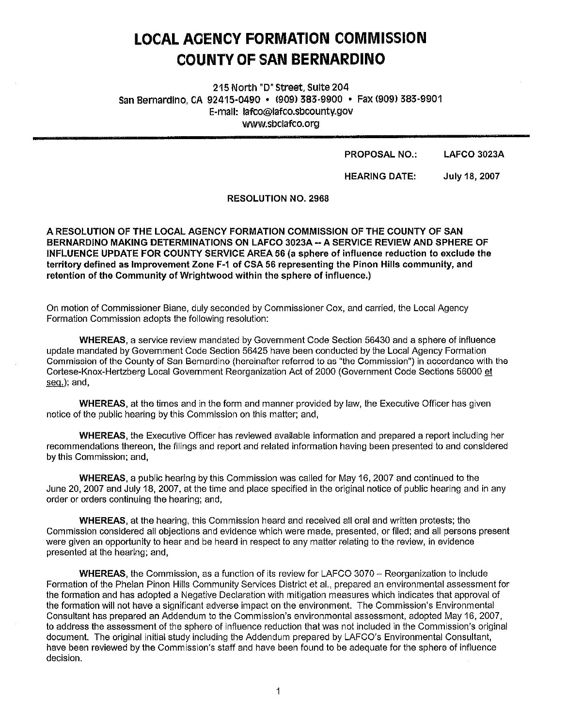# **LOCAL AGENCY FORMATION COMMISSION COUNTY OF SAN BERNARDINO**

215 North "D" Street, Suite 204 San Bernardino, CA 92415-0490 • (9091 383-9900 • Fax (909) 383-9901 E-mail: lafco@lafco.sbcounty.gov www.sbclafCo.org

#### PROPOSAL NO.: LAFCO 3023A

HEARING DATE: July 18, 2007

RESOLUTION NO. 2968

**A RESOLUTION OF THE LOCAL AGENCY FORMATION COMMISSION OF THE COUNTY OF SAN BERNARDINO MAKING DETERMINATIONS ON LAFCO 3023A--A SERVICE REVIEW AND SPHERE OF INFLUENCE UPDATE FOR COUNTY SERVICE AREA 56 (a sphere of influence reduction to exclude the territory defined as Improvement Zone F-1 of CSA 56 representing the Pinon Hills community, and retention of the Community of Wrightwood within the sphere of influence.)** 

On motion of Commissioner Biane, duly seconded by Commissioner Cox, and carried, the Local Agency Formation Commission adopts the following resolution:

**WHEREAS,** a service review mandated by Government Code Section 56430 and a sphere of influence update mandated by Government Code Section 56425 have been conducted by the Local Agency Formation Commission of the County of San Bernardino (hereinafter referred to as "the Commission") in accordance with the Cortese-Knox-Hertzberg Local Government Reorganization Act of 2000 (Government Code Sections 56000 et seq.); and,

WHEREAS, at the times and in the form and manner provided by law, the Executive Officer has given notice of the public hearing by this Commission on this matter; and,

**WHEREAS,** the Executive Officer has reviewed available information and prepared a report including her recommendations thereon, the filings and report and related information having been presented to and considered by this Commission; and,

**WHEREAS,** a public hearing by this Commission was called for May 16, 2007 and continued to the June 20, 2007 and July 18, 2007, at the time and place specified in the original notice of public hearing and in any order or orders continuing the hearing; and,

**WHEREAS,** at the hearing, this Commission heard and received all oral and written protests; the Commission considered all objections and evidence which were made, presented, or filed; and all persons present were given an opportunity to hear and be heard in respect to any matter relating to the review, in evidence presented at the hearing; and,

**WHEREAS,** the Commission, as a function of its review for LAFCO 3070 - Reorganization to include Formation of the Phelan Pinon Hills Community Services District et al., prepared an environmental assessment for the formation and has adopted a Negative Declaration with mitigation measures which indicates that approval of the formation will not have a significant adverse impact on the environment. The Commission's Environmental Consultant has prepared an Addendum to the Commission's environmental assessment, adopted May 16, 2007, to address the assessment of the sphere of influence reduction that was not included in the Commission's original document. The original initial study including the Addendum prepared by LAFCO's Environmental Consultant, have been reviewed by the Commission's staff and have been found to be adequate for the sphere of influence decision.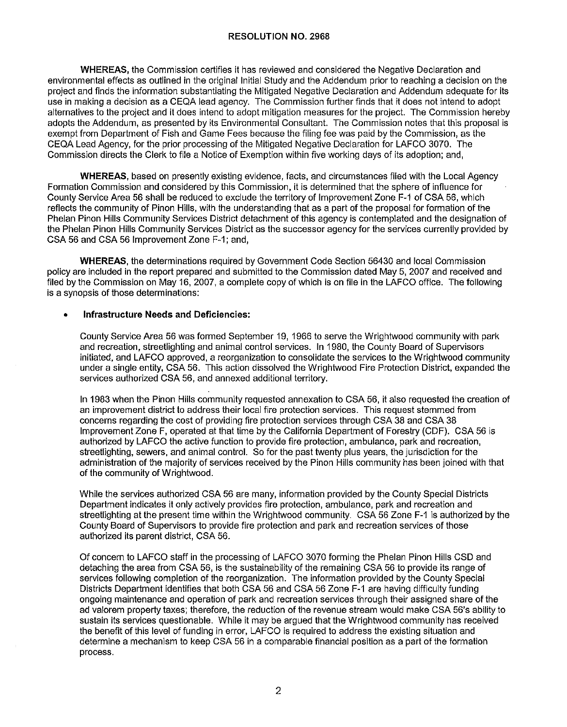**WHEREAS,** the Commission certifies it has reviewed and considered the Negative Declaration and environmental effects as outlined in the original Initial Study and the Addendum prior to reaching a decision on the project and finds the information substantiating the Mitigated Negative Declaration and Addendum adequate for its use in making a decision as a CEQA lead agency. The Commission further finds that it does not intend to adopt alternatives to the project and it does intend to adopt mitigation measures for the project. The Commission hereby adopts the Addendum, as presented by its Environmental Consultant. The Commission notes that this proposal is exempt from Department of Fish and Game Fees because the filing fee was paid by the Commission, as the CEQA Lead Agency, for the prior processing of the Mitigated Negative Declaration for LAFCO 3070. The Commission directs the Clerk to file a Notice of Exemption within five working days of its adoption; and,

**WHEREAS,** based on presently existing evidence, facts, and circumstances filed with the Local Agency Formation Commission and considered by this Commission, it is determined that the sphere of influence for County Service Area 56 shall be reduced to exclude the territory of Improvement Zone F-1 of CSA 56, which reflects the community of Pinon Hills, with the understanding that as a part of the proposal for formation of the Phelan Pinon Hills Community Services District detachment of this agency is contemplated and the designation of the Phelan Pinon Hills Community Services District as the successor agency for the services currently provided by CSA 56 and CSA 56 Improvement Zone F-1; and,

**WHEREAS,** the determinations required by Government Code Section 56430 and local Commission policy are included in the report prepared and submitted to the Commission dated May 5, 2007 and received and filed by the Commission on May 16, 2007, a complete copy of which is on file in the LAFCO office. The following is a synopsis of those determinations:

#### • **Infrastructure Needs and Deficiencies:**

County Service Area 56 was formed September 19, 1966 to serve the Wrightwood community with park and recreation, streetlighting and animal control services. In 1980, the County Board of Supervisors initiated, and LAFCO approved, a reorganization to consolidate the services to the Wrightwood community under a single entity, CSA 56. This action dissolved the Wrightwood Fire Protection District, expanded the services authorized CSA 56, and annexed additional territory.

In 1983 when the Pinon Hills community requested annexation to CSA 56, ii also requested the creation of an improvement district to address their local fire protection services. This request stemmed from concerns regarding the cost of providing fire protection services through CSA 38 and CSA 38 Improvement Zone F, operated at that time by the California Department of Forestry (GDF). CSA 56 is authorized by LAFCO the active function to provide fire protection, ambulance, park and recreation, streetlighting, sewers, and animal control. So for the past twenty plus years, the jurisdiction for the administration of the majority of services received by the Pinon Hills community has been joined with that of the community of Wrightwood.

While the services authorized CSA 56 are many, information provided by the County Special Districts Department indicates it only actively provides fire protection, ambulance, park and recreation and streetlighting at the present time within the Wrightwood community. CSA 56 Zone F-1 is authorized by the County Board of Supervisors to provide fire protection and park and recreation services of those authorized its parent district, CSA 56.

Of concern to LAFCO staff in the processing of LAFCO 3070 forming the Phelan Pinon Hills CSD and detaching the area from CSA 56, is the sustainability of the remaining CSA 56 to provide its range of services following completion of the reorganization. The information provided by the County Special Districts Department identifies that both CSA 56 and CSA 56 Zone F-1 are having difficulty funding ongoing maintenance and operation of park and recreation services through their assigned share of the ad valorem property taxes; therefore, the reduction of the revenue stream would make CSA 56's ability to sustain its services questionable. While it may be argued that the Wrightwood community has received the benefit of this level of funding in error, LAFCO is required to address the existing situation and determine a mechanism to keep CSA 56 in a comparable financial position as a part of the formation process.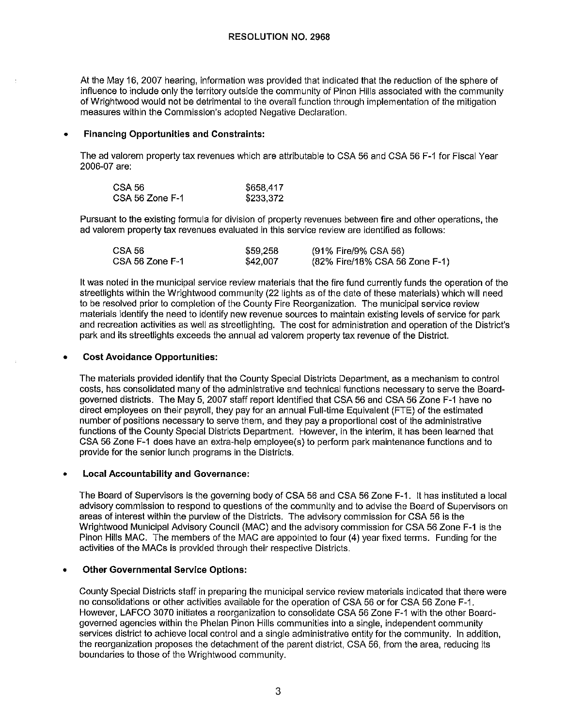## **RESOLUTION NO. 2968**

At the May 16, 2007 hearing, information was provided that indicated that the reduction of the sphere of influence to include only the territory outside the community of Pinon Hills associated with the community of Wrightwood would not be detrimental to the overall function through implementation of the mitigation measures within the Commission's adopted Negative Declaration.

## • **Financing Opportunities and Constraints:**

The ad valorem property tax revenues which are attributable to CSA 56 and CSA 56 F-1 for Fiscal Year 2006-07 are:

| CSA 56          | \$658,417 |
|-----------------|-----------|
| CSA 56 Zone F-1 | \$233,372 |

Pursuant to the existing formula for division of property revenues between fire and other operations, the ad valorem property tax revenues evaluated in this service review are identified as follows:

| CSA 56          | \$59,258 | (91% Fire/9% CSA 56)           |
|-----------------|----------|--------------------------------|
| CSA 56 Zone F-1 | \$42,007 | (82% Fire/18% CSA 56 Zone F-1) |

It was noted in the municipal service review materials that the fire fund currently funds the operation of the streetlights within the Wrightwood community (22 lights as of the date of these materials) which will need to be resolved prior to completion of the County Fire Reorganization. The municipal service review materials identify the need to identify new revenue sources to maintain existing levels of service for park and recreation activities as well as streetlighting. The cost for administration and operation of the District's park and its streetlights exceeds the annual ad valorem property tax revenue of the District.

#### • **Cost Avoidance Opportunities:**

The materials provided identify that the County Special Districts Department, as a mechanism to control costs, has consolidated many of the administrative and technical functions necessary to serve the Boardgoverned districts. The May 5, 2007 staff report identified that CSA 56 and CSA 56 Zone F-1 have no direct employees on their payroll, they pay for an annual Full-time Equivalent (FTE) of the estimated number of positions necessary to serve them, and they pay a proportional cost of the administrative functions of the County Special Districts Department. However, in the interim, it has been learned that CSA 56 Zone F-1 does have an extra-help employee(s) to perform park maintenance functions and to provide for the senior lunch programs in the Districts.

# • **Local Accountability and Governance:**

The Board of Supervisors is the governing body of CSA 56 and CSA 56 Zone F-1. It has instituted a local advisory commission to respond to questions of the community and to advise the Board of Supervisors on areas of interest within the purview of the Districts. The advisory commission for CSA 56 is the Wrightwood Municipal Advisory Council (MAC) and the advisory commission for CSA 56 Zone F-1 is the Pinon Hills MAC. The members of the MAC are appointed to four (4) year fixed terms. Funding for the activities of the MACs is provided through their respective Districts.

## • **Other Governmental Service Options:**

County Special Districts staff in preparing the municipal service review materials indicated that there were no consolidations or other activities available for the operation of CSA 56 or for CSA 56 Zone F-1. However, LAFCO 3070 initiates a reorganization to consolidate CSA 56 Zone F-1 with the other Boardgoverned agencies within the Phelan Pinon Hills communities into a single, independent community services district to achieve local control and a single administrative entity for the community. In addition, the reorganization proposes the detachment of the parent district, CSA 56, from the area, reducing its boundaries to those of the Wrightwood community.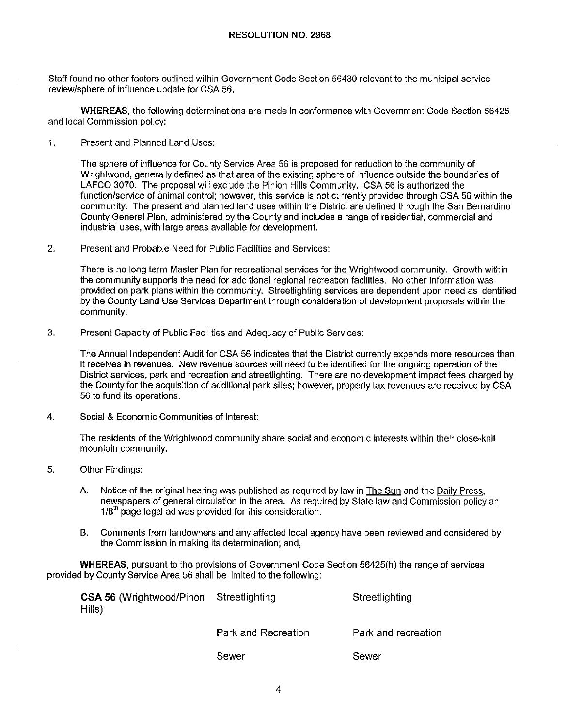Staff found no other factors outlined within Government Code Section 56430 relevant to the municipal service review/sphere of influence update for CSA 56.

**WHEREAS,** the following determinations are made in conformance with Government Code Section 56425 and local Commission policy:

1. Present and Planned Land Uses:

The sphere of influence for County Service Area 56 is proposed for reduction to the community of Wrighlwood, generally defined as that area of the existing sphere of influence outside the boundaries of LAFCO 3070. The proposal will exclude the Pinion Hills Community. CSA 56 is authorized the function/service of animal control; however, this service is not currently provided through CSA 56 within the community. The present and planned land uses within the District are defined through the San Bernardino County General Plan, administered by the County and includes a range of residential, commercial and industrial uses, with large areas available for development.

2. Present and Probable Need for Public Facilities and Services:

There is no long term Master Plan for recreational services for the Wrightwood community. Growth within the community supports the need for additional regional recreation facilities. No other information was provided on park plans within the community. Streetlighting services are dependent upon need as identified by the County Land Use Services Department through consideration of development proposals within the community.

3. Present Capacity of Public Facilities and Adequacy of Public Services:

The Annual Independent Audit for CSA 56 indicates that the District currently expends more resources than it receives in revenues. New revenue sources will need to be identified for the ongoing operation of the District services, park and recreation and streetlighting. There are no development impact fees charged by the County for the acquisition of additional park sites; however, property tax revenues are received by CSA 56 to fund its operations.

4. Social & Economic Communities of Interest:

The residents of the Wrightwood community share social and economic interests within their close-knit mountain community.

- 5. Other Findings:
	- A. Notice of the original hearing was published as required by law in The Sun and the Daily Press, newspapers of general circulation in the area. As required by Slate law and Commission policy an  $1/8<sup>th</sup>$  page legal ad was provided for this consideration.
	- B. Comments from landowners and any affected local agency have been reviewed and considered by the Commission in making its determination; and,

**WHEREAS,** pursuant to the provisions of Government Code Section 56425(h) the range of services provided by County Service Area 56 shall be limited to the following:

| <b>CSA 56 (Wrightwood/Pinon Streetlighting</b><br>Hills) |                     | Streetlighting      |
|----------------------------------------------------------|---------------------|---------------------|
|                                                          | Park and Recreation | Park and recreation |

Sewer

Sewer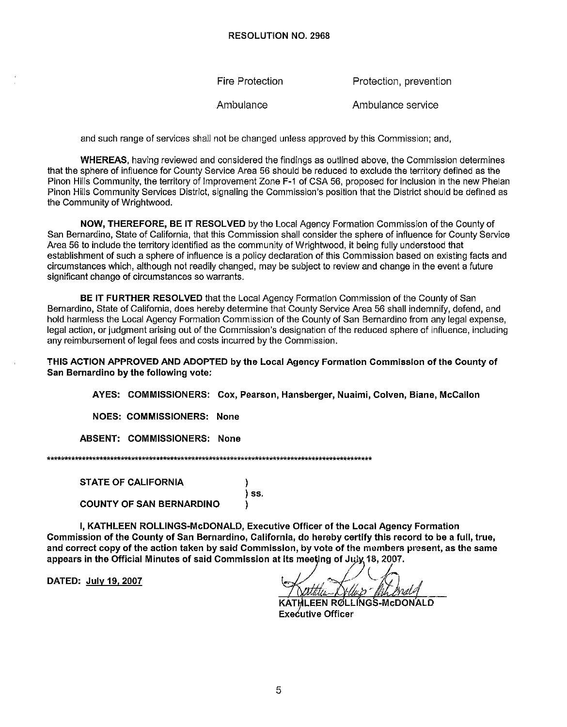**Fire Protection** Protection, prevention

Ambulance Ambulance service

and such range of services shall not be changed unless approved by this Commission; and,

WHEREAS, having reviewed and considered the findings as outlined above, the Commission determines that the sphere of influence for County Service Area 56 should be reduced to exclude the territory defined as the Pinon Hills Community, the territory of Improvement Zone F-1 of CSA 56, proposed for inclusion in the new Phelan Pinon Hills Community Services District, signaling the Commission's position that the District should be defined as the Community of Wrightwood.

NOW, THEREFORE, BE IT RESOLVED by the Local Agency Formation Commission of the County of San Bernardino, State of California, that this Commission shall consider the sphere of influence for County Service Area 56 to include the territory identified as the community of Wrightwood, it being fully understood that establishment of such a sphere of influence is a policy declaration of this Commission based on existing facts and circumstances which, although not readily changed, may be subject to review and change in the event a future significant change of circumstances so warrants.

BE IT FURTHER RESOLVED that the Local Agency Formation Commission of the County of San Bernardino, State of California, does hereby determine that County Service Area 56 shall indemnify, defend, and hold harmless the Local Agency Formation Commission of the County of San Bernardino from any legal expense, legal action, or judgment arising out of the Commission's designation of the reduced sphere of influence, including any reimbursement of legal fees and costs incurred by the Commission.

THIS ACTION APPROVED AND ADOPTED by the Local Agency Formation Commission of the County of San Bernardino by the following vote:

AYES: COMMISSIONERS: Cox, Pearson, Hansberger, Nuaimi, Colven, Biane, McCallon

NOES: COMMISSIONERS: None

ABSENT: COMMISSIONERS: None

**STATE OF CALIFORNIA** 

**COUNTY OF SAN BERNARDINO** 

I, KATHLEEN ROLLINGS-McDONALD, Executive Officer of the Local Agency Formation Commission of the County of San Bernardino, California, do hereby certify this record to be a full, true, and correct copy of the action taken by said Commission, by vote of the members present, as the same appears in the Official Minutes of said Commission at its meeting of July 18, 2007.

)  $)$  ss.

١

DATED: July 19, 2007

KATHLEEN ROLLINGS-McDONALD **Executive Officer**